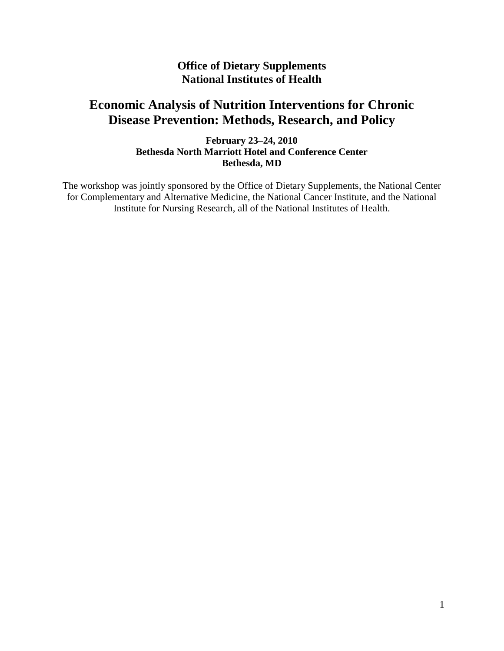## **Office of Dietary Supplements National Institutes of Health**

# **Economic Analysis of Nutrition Interventions for Chronic Disease Prevention: Methods, Research, and Policy**

**February 23–24, 2010 Bethesda North Marriott Hotel and Conference Center Bethesda, MD**

The workshop was jointly sponsored by the Office of Dietary Supplements, the National Center for Complementary and Alternative Medicine, the National Cancer Institute, and the National Institute for Nursing Research, all of the National Institutes of Health.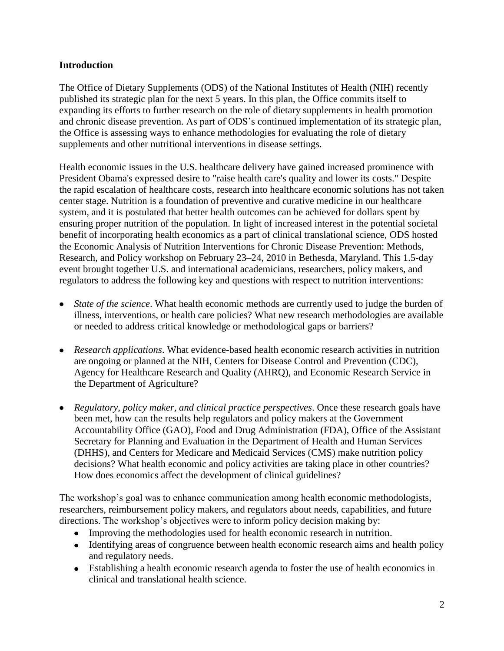#### **Introduction**

The Office of Dietary Supplements (ODS) of the National Institutes of Health (NIH) recently published its strategic plan for the next 5 years. In this plan, the Office commits itself to expanding its efforts to further research on the role of dietary supplements in health promotion and chronic disease prevention. As part of ODS's continued implementation of its strategic plan, the Office is assessing ways to enhance methodologies for evaluating the role of dietary supplements and other nutritional interventions in disease settings.

Health economic issues in the U.S. healthcare delivery have gained increased prominence with President Obama's expressed desire to "raise health care's quality and lower its costs." Despite the rapid escalation of healthcare costs, research into healthcare economic solutions has not taken center stage. Nutrition is a foundation of preventive and curative medicine in our healthcare system, and it is postulated that better health outcomes can be achieved for dollars spent by ensuring proper nutrition of the population. In light of increased interest in the potential societal benefit of incorporating health economics as a part of clinical translational science, ODS hosted the Economic Analysis of Nutrition Interventions for Chronic Disease Prevention: Methods, Research, and Policy workshop on February 23–24, 2010 in Bethesda, Maryland. This 1.5-day event brought together U.S. and international academicians, researchers, policy makers, and regulators to address the following key and questions with respect to nutrition interventions:

- *State of the science*. What health economic methods are currently used to judge the burden of illness, interventions, or health care policies? What new research methodologies are available or needed to address critical knowledge or methodological gaps or barriers?
- *Research applications*. What evidence-based health economic research activities in nutrition are ongoing or planned at the NIH, Centers for Disease Control and Prevention (CDC), Agency for Healthcare Research and Quality (AHRQ), and Economic Research Service in the Department of Agriculture?
- *Regulatory, policy maker, and clinical practice perspectives*. Once these research goals have been met, how can the results help regulators and policy makers at the Government Accountability Office (GAO), Food and Drug Administration (FDA), Office of the Assistant Secretary for Planning and Evaluation in the Department of Health and Human Services (DHHS), and Centers for Medicare and Medicaid Services (CMS) make nutrition policy decisions? What health economic and policy activities are taking place in other countries? How does economics affect the development of clinical guidelines?

The workshop's goal was to enhance communication among health economic methodologists, researchers, reimbursement policy makers, and regulators about needs, capabilities, and future directions. The workshop's objectives were to inform policy decision making by:

- Improving the methodologies used for health economic research in nutrition.
- Identifying areas of congruence between health economic research aims and health policy and regulatory needs.
- Establishing a health economic research agenda to foster the use of health economics in clinical and translational health science.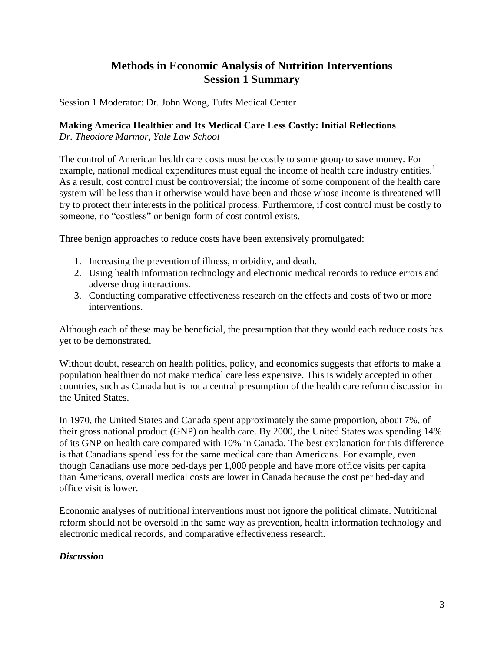# **Methods in Economic Analysis of Nutrition Interventions Session 1 Summary**

Session 1 Moderator: Dr. John Wong, Tufts Medical Center

#### **Making America Healthier and Its Medical Care Less Costly: Initial Reflections**

*Dr. Theodore Marmor, Yale Law School*

The control of American health care costs must be costly to some group to save money. For example, national medical expenditures must equal the income of health care industry entities.<sup>1</sup> As a result, cost control must be controversial; the income of some component of the health care system will be less than it otherwise would have been and those whose income is threatened will try to protect their interests in the political process. Furthermore, if cost control must be costly to someone, no "costless" or benign form of cost control exists.

Three benign approaches to reduce costs have been extensively promulgated:

- 1. Increasing the prevention of illness, morbidity, and death.
- 2. Using health information technology and electronic medical records to reduce errors and adverse drug interactions.
- 3. Conducting comparative effectiveness research on the effects and costs of two or more interventions.

Although each of these may be beneficial, the presumption that they would each reduce costs has yet to be demonstrated.

Without doubt, research on health politics, policy, and economics suggests that efforts to make a population healthier do not make medical care less expensive. This is widely accepted in other countries, such as Canada but is not a central presumption of the health care reform discussion in the United States.

In 1970, the United States and Canada spent approximately the same proportion, about 7%, of their gross national product (GNP) on health care. By 2000, the United States was spending 14% of its GNP on health care compared with 10% in Canada. The best explanation for this difference is that Canadians spend less for the same medical care than Americans. For example, even though Canadians use more bed-days per 1,000 people and have more office visits per capita than Americans, overall medical costs are lower in Canada because the cost per bed-day and office visit is lower.

Economic analyses of nutritional interventions must not ignore the political climate. Nutritional reform should not be oversold in the same way as prevention, health information technology and electronic medical records, and comparative effectiveness research.

#### *Discussion*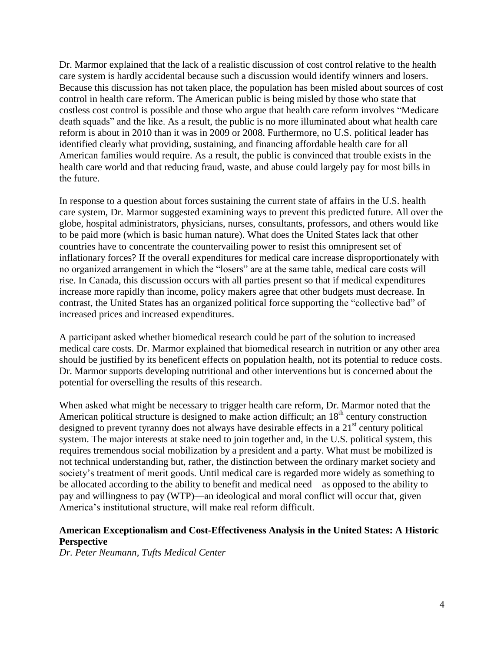Dr. Marmor explained that the lack of a realistic discussion of cost control relative to the health care system is hardly accidental because such a discussion would identify winners and losers. Because this discussion has not taken place, the population has been misled about sources of cost control in health care reform. The American public is being misled by those who state that costless cost control is possible and those who argue that health care reform involves "Medicare" death squads" and the like. As a result, the public is no more illuminated about what health care reform is about in 2010 than it was in 2009 or 2008. Furthermore, no U.S. political leader has identified clearly what providing, sustaining, and financing affordable health care for all American families would require. As a result, the public is convinced that trouble exists in the health care world and that reducing fraud, waste, and abuse could largely pay for most bills in the future.

In response to a question about forces sustaining the current state of affairs in the U.S. health care system, Dr. Marmor suggested examining ways to prevent this predicted future. All over the globe, hospital administrators, physicians, nurses, consultants, professors, and others would like to be paid more (which is basic human nature). What does the United States lack that other countries have to concentrate the countervailing power to resist this omnipresent set of inflationary forces? If the overall expenditures for medical care increase disproportionately with no organized arrangement in which the "losers" are at the same table, medical care costs will rise. In Canada, this discussion occurs with all parties present so that if medical expenditures increase more rapidly than income, policy makers agree that other budgets must decrease. In contrast, the United States has an organized political force supporting the "collective bad" of increased prices and increased expenditures.

A participant asked whether biomedical research could be part of the solution to increased medical care costs. Dr. Marmor explained that biomedical research in nutrition or any other area should be justified by its beneficent effects on population health, not its potential to reduce costs. Dr. Marmor supports developing nutritional and other interventions but is concerned about the potential for overselling the results of this research.

When asked what might be necessary to trigger health care reform, Dr. Marmor noted that the American political structure is designed to make action difficult; an  $18<sup>th</sup>$  century construction designed to prevent tyranny does not always have desirable effects in a  $21<sup>st</sup>$  century political system. The major interests at stake need to join together and, in the U.S. political system, this requires tremendous social mobilization by a president and a party. What must be mobilized is not technical understanding but, rather, the distinction between the ordinary market society and society's treatment of merit goods. Until medical care is regarded more widely as something to be allocated according to the ability to benefit and medical need—as opposed to the ability to pay and willingness to pay (WTP)—an ideological and moral conflict will occur that, given America's institutional structure, will make real reform difficult.

#### **American Exceptionalism and Cost-Effectiveness Analysis in the United States: A Historic Perspective**

*Dr. Peter Neumann, Tufts Medical Center*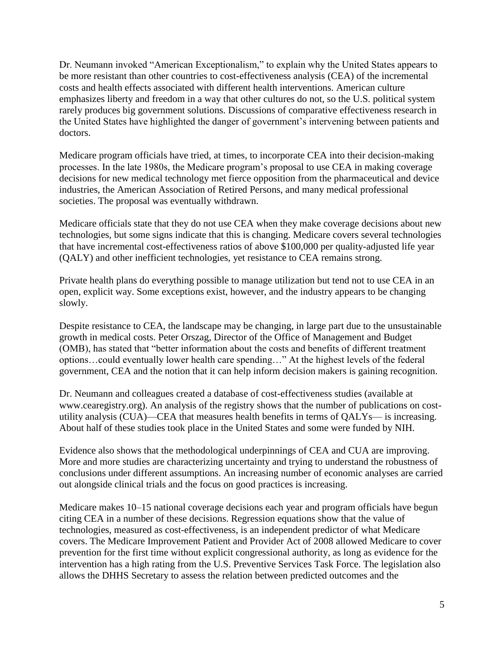Dr. Neumann invoked "American Exceptionalism," to explain why the United States appears to be more resistant than other countries to cost-effectiveness analysis (CEA) of the incremental costs and health effects associated with different health interventions. American culture emphasizes liberty and freedom in a way that other cultures do not, so the U.S. political system rarely produces big government solutions. Discussions of comparative effectiveness research in the United States have highlighted the danger of government's intervening between patients and doctors.

Medicare program officials have tried, at times, to incorporate CEA into their decision-making processes. In the late 1980s, the Medicare program's proposal to use CEA in making coverage decisions for new medical technology met fierce opposition from the pharmaceutical and device industries, the American Association of Retired Persons, and many medical professional societies. The proposal was eventually withdrawn.

Medicare officials state that they do not use CEA when they make coverage decisions about new technologies, but some signs indicate that this is changing. Medicare covers several technologies that have incremental cost-effectiveness ratios of above \$100,000 per quality-adjusted life year (QALY) and other inefficient technologies, yet resistance to CEA remains strong.

Private health plans do everything possible to manage utilization but tend not to use CEA in an open, explicit way. Some exceptions exist, however, and the industry appears to be changing slowly.

Despite resistance to CEA, the landscape may be changing, in large part due to the unsustainable growth in medical costs. Peter Orszag, Director of the Office of Management and Budget (OMB), has stated that "better information about the costs and benefits of different treatment options...could eventually lower health care spending..." At the highest levels of the federal government, CEA and the notion that it can help inform decision makers is gaining recognition.

Dr. Neumann and colleagues created a database of cost-effectiveness studies (available at www.cearegistry.org). An analysis of the registry shows that the number of publications on costutility analysis (CUA)—CEA that measures health benefits in terms of QALYs— is increasing. About half of these studies took place in the United States and some were funded by NIH.

Evidence also shows that the methodological underpinnings of CEA and CUA are improving. More and more studies are characterizing uncertainty and trying to understand the robustness of conclusions under different assumptions. An increasing number of economic analyses are carried out alongside clinical trials and the focus on good practices is increasing.

Medicare makes 10–15 national coverage decisions each year and program officials have begun citing CEA in a number of these decisions. Regression equations show that the value of technologies, measured as cost-effectiveness, is an independent predictor of what Medicare covers. The Medicare Improvement Patient and Provider Act of 2008 allowed Medicare to cover prevention for the first time without explicit congressional authority, as long as evidence for the intervention has a high rating from the U.S. Preventive Services Task Force. The legislation also allows the DHHS Secretary to assess the relation between predicted outcomes and the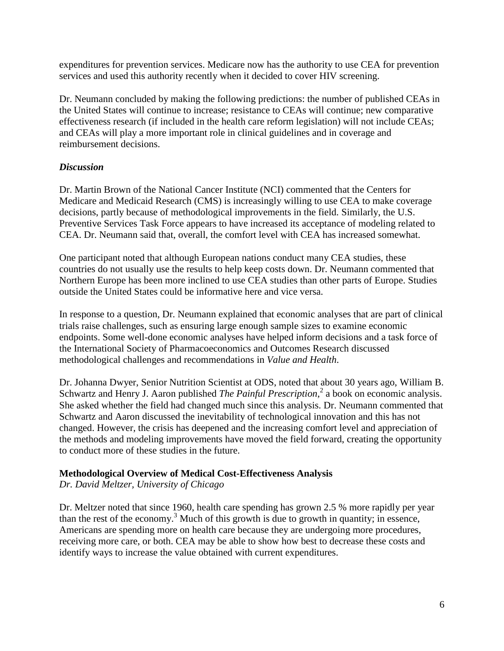expenditures for prevention services. Medicare now has the authority to use CEA for prevention services and used this authority recently when it decided to cover HIV screening.

Dr. Neumann concluded by making the following predictions: the number of published CEAs in the United States will continue to increase; resistance to CEAs will continue; new comparative effectiveness research (if included in the health care reform legislation) will not include CEAs; and CEAs will play a more important role in clinical guidelines and in coverage and reimbursement decisions.

#### *Discussion*

Dr. Martin Brown of the National Cancer Institute (NCI) commented that the Centers for Medicare and Medicaid Research (CMS) is increasingly willing to use CEA to make coverage decisions, partly because of methodological improvements in the field. Similarly, the U.S. Preventive Services Task Force appears to have increased its acceptance of modeling related to CEA. Dr. Neumann said that, overall, the comfort level with CEA has increased somewhat.

One participant noted that although European nations conduct many CEA studies, these countries do not usually use the results to help keep costs down. Dr. Neumann commented that Northern Europe has been more inclined to use CEA studies than other parts of Europe. Studies outside the United States could be informative here and vice versa.

In response to a question, Dr. Neumann explained that economic analyses that are part of clinical trials raise challenges, such as ensuring large enough sample sizes to examine economic endpoints. Some well-done economic analyses have helped inform decisions and a task force of the International Society of Pharmacoeconomics and Outcomes Research discussed methodological challenges and recommendations in *Value and Health*.

Dr. Johanna Dwyer, Senior Nutrition Scientist at ODS, noted that about 30 years ago, William B. Schwartz and Henry J. Aaron published *The Painful Prescription*,<sup>2</sup> a book on economic analysis. She asked whether the field had changed much since this analysis. Dr. Neumann commented that Schwartz and Aaron discussed the inevitability of technological innovation and this has not changed. However, the crisis has deepened and the increasing comfort level and appreciation of the methods and modeling improvements have moved the field forward, creating the opportunity to conduct more of these studies in the future.

#### **Methodological Overview of Medical Cost-Effectiveness Analysis**

*Dr. David Meltzer, University of Chicago*

Dr. Meltzer noted that since 1960, health care spending has grown 2.5 % more rapidly per year than the rest of the economy.<sup>3</sup> Much of this growth is due to growth in quantity; in essence, Americans are spending more on health care because they are undergoing more procedures, receiving more care, or both. CEA may be able to show how best to decrease these costs and identify ways to increase the value obtained with current expenditures.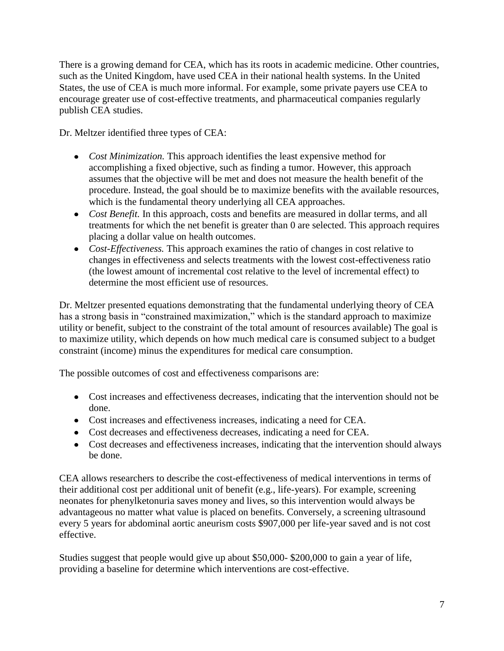There is a growing demand for CEA, which has its roots in academic medicine. Other countries, such as the United Kingdom, have used CEA in their national health systems. In the United States, the use of CEA is much more informal. For example, some private payers use CEA to encourage greater use of cost-effective treatments, and pharmaceutical companies regularly publish CEA studies.

Dr. Meltzer identified three types of CEA:

- *Cost Minimization.* This approach identifies the least expensive method for accomplishing a fixed objective, such as finding a tumor. However, this approach assumes that the objective will be met and does not measure the health benefit of the procedure. Instead, the goal should be to maximize benefits with the available resources, which is the fundamental theory underlying all CEA approaches.
- *Cost Benefit.* In this approach, costs and benefits are measured in dollar terms, and all treatments for which the net benefit is greater than 0 are selected. This approach requires placing a dollar value on health outcomes.
- *Cost-Effectiveness.* This approach examines the ratio of changes in cost relative to changes in effectiveness and selects treatments with the lowest cost-effectiveness ratio (the lowest amount of incremental cost relative to the level of incremental effect) to determine the most efficient use of resources.

Dr. Meltzer presented equations demonstrating that the fundamental underlying theory of CEA has a strong basis in "constrained maximization," which is the standard approach to maximize utility or benefit, subject to the constraint of the total amount of resources available) The goal is to maximize utility, which depends on how much medical care is consumed subject to a budget constraint (income) minus the expenditures for medical care consumption.

The possible outcomes of cost and effectiveness comparisons are:

- Cost increases and effectiveness decreases, indicating that the intervention should not be done.
- Cost increases and effectiveness increases, indicating a need for CEA.
- Cost decreases and effectiveness decreases, indicating a need for CEA.
- Cost decreases and effectiveness increases, indicating that the intervention should always be done.

CEA allows researchers to describe the cost-effectiveness of medical interventions in terms of their additional cost per additional unit of benefit (e.g., life-years). For example, screening neonates for phenylketonuria saves money and lives, so this intervention would always be advantageous no matter what value is placed on benefits. Conversely, a screening ultrasound every 5 years for abdominal aortic aneurism costs \$907,000 per life-year saved and is not cost effective.

Studies suggest that people would give up about \$50,000- \$200,000 to gain a year of life, providing a baseline for determine which interventions are cost-effective.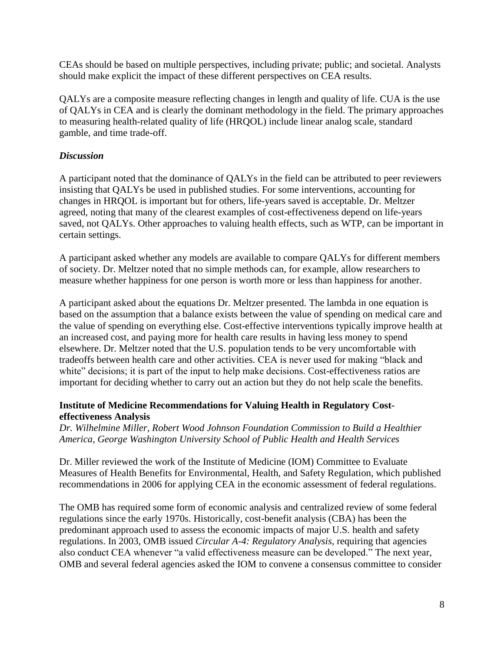CEAs should be based on multiple perspectives, including private; public; and societal. Analysts should make explicit the impact of these different perspectives on CEA results.

QALYs are a composite measure reflecting changes in length and quality of life. CUA is the use of QALYs in CEA and is clearly the dominant methodology in the field. The primary approaches to measuring health-related quality of life (HRQOL) include linear analog scale, standard gamble, and time trade-off.

### *Discussion*

A participant noted that the dominance of QALYs in the field can be attributed to peer reviewers insisting that QALYs be used in published studies. For some interventions, accounting for changes in HRQOL is important but for others, life-years saved is acceptable. Dr. Meltzer agreed, noting that many of the clearest examples of cost-effectiveness depend on life-years saved, not QALYs. Other approaches to valuing health effects, such as WTP, can be important in certain settings.

A participant asked whether any models are available to compare QALYs for different members of society. Dr. Meltzer noted that no simple methods can, for example, allow researchers to measure whether happiness for one person is worth more or less than happiness for another.

A participant asked about the equations Dr. Meltzer presented. The lambda in one equation is based on the assumption that a balance exists between the value of spending on medical care and the value of spending on everything else. Cost-effective interventions typically improve health at an increased cost, and paying more for health care results in having less money to spend elsewhere. Dr. Meltzer noted that the U.S. population tends to be very uncomfortable with tradeoffs between health care and other activities. CEA is never used for making "black and white" decisions; it is part of the input to help make decisions. Cost-effectiveness ratios are important for deciding whether to carry out an action but they do not help scale the benefits.

#### **Institute of Medicine Recommendations for Valuing Health in Regulatory Costeffectiveness Analysis**

*Dr. Wilhelmine Miller, Robert Wood Johnson Foundation Commission to Build a Healthier America, George Washington University School of Public Health and Health Services*

Dr. Miller reviewed the work of the Institute of Medicine (IOM) Committee to Evaluate Measures of Health Benefits for Environmental, Health, and Safety Regulation, which published recommendations in 2006 for applying CEA in the economic assessment of federal regulations.

The OMB has required some form of economic analysis and centralized review of some federal regulations since the early 1970s. Historically, cost-benefit analysis (CBA) has been the predominant approach used to assess the economic impacts of major U.S. health and safety regulations. In 2003, OMB issued *Circular A-4: Regulatory Analysis*, requiring that agencies also conduct CEA whenever "a valid effectiveness measure can be developed." The next year, OMB and several federal agencies asked the IOM to convene a consensus committee to consider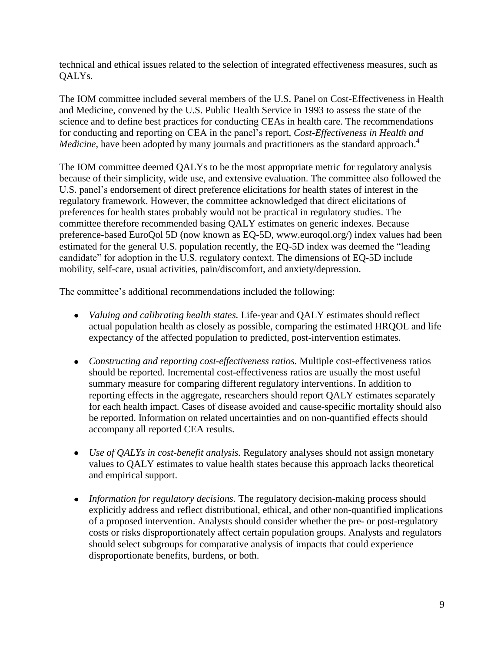technical and ethical issues related to the selection of integrated effectiveness measures, such as QALYs.

The IOM committee included several members of the U.S. Panel on Cost-Effectiveness in Health and Medicine, convened by the U.S. Public Health Service in 1993 to assess the state of the science and to define best practices for conducting CEAs in health care. The recommendations for conducting and reporting on CEA in the panel's report, *Cost-Effectiveness in Health and*  Medicine, have been adopted by many journals and practitioners as the standard approach.<sup>4</sup>

The IOM committee deemed QALYs to be the most appropriate metric for regulatory analysis because of their simplicity, wide use, and extensive evaluation. The committee also followed the U.S. panel's endorsement of direct preference elicitations for health states of interest in the regulatory framework. However, the committee acknowledged that direct elicitations of preferences for health states probably would not be practical in regulatory studies. The committee therefore recommended basing QALY estimates on generic indexes. Because preference-based EuroQol 5D (now known as EQ-5D, www.euroqol.org/) index values had been estimated for the general U.S. population recently, the EQ-5D index was deemed the "leading" candidate" for adoption in the U.S. regulatory context. The dimensions of EQ-5D include mobility, self-care, usual activities, pain/discomfort, and anxiety/depression.

The committee's additional recommendations included the following:

- *Valuing and calibrating health states.* Life-year and QALY estimates should reflect actual population health as closely as possible, comparing the estimated HRQOL and life expectancy of the affected population to predicted, post-intervention estimates.
- *Constructing and reporting cost-effectiveness ratios.* Multiple cost-effectiveness ratios should be reported. Incremental cost-effectiveness ratios are usually the most useful summary measure for comparing different regulatory interventions. In addition to reporting effects in the aggregate, researchers should report QALY estimates separately for each health impact. Cases of disease avoided and cause-specific mortality should also be reported. Information on related uncertainties and on non-quantified effects should accompany all reported CEA results.
- *Use of QALYs in cost-benefit analysis.* Regulatory analyses should not assign monetary values to QALY estimates to value health states because this approach lacks theoretical and empirical support.
- *Information for regulatory decisions.* The regulatory decision-making process should explicitly address and reflect distributional, ethical, and other non-quantified implications of a proposed intervention. Analysts should consider whether the pre- or post-regulatory costs or risks disproportionately affect certain population groups. Analysts and regulators should select subgroups for comparative analysis of impacts that could experience disproportionate benefits, burdens, or both.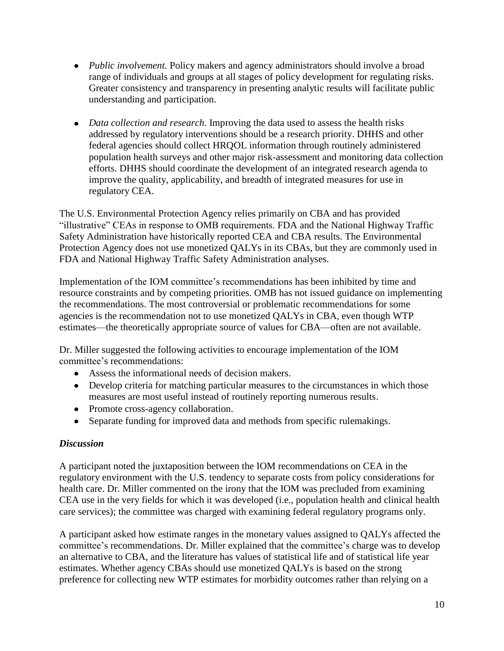- *Public involvement.* Policy makers and agency administrators should involve a broad range of individuals and groups at all stages of policy development for regulating risks. Greater consistency and transparency in presenting analytic results will facilitate public understanding and participation.
- *Data collection and research*. Improving the data used to assess the health risks addressed by regulatory interventions should be a research priority. DHHS and other federal agencies should collect HRQOL information through routinely administered population health surveys and other major risk-assessment and monitoring data collection efforts. DHHS should coordinate the development of an integrated research agenda to improve the quality, applicability, and breadth of integrated measures for use in regulatory CEA.

The U.S. Environmental Protection Agency relies primarily on CBA and has provided "illustrative" CEAs in response to OMB requirements. FDA and the National Highway Traffic Safety Administration have historically reported CEA and CBA results. The Environmental Protection Agency does not use monetized QALYs in its CBAs, but they are commonly used in FDA and National Highway Traffic Safety Administration analyses.

Implementation of the IOM committee's recommendations has been inhibited by time and resource constraints and by competing priorities. OMB has not issued guidance on implementing the recommendations. The most controversial or problematic recommendations for some agencies is the recommendation not to use monetized QALYs in CBA, even though WTP estimates—the theoretically appropriate source of values for CBA—often are not available.

Dr. Miller suggested the following activities to encourage implementation of the IOM committee's recommendations:

- Assess the informational needs of decision makers.
- Develop criteria for matching particular measures to the circumstances in which those measures are most useful instead of routinely reporting numerous results.
- Promote cross-agency collaboration.
- Separate funding for improved data and methods from specific rulemakings.

#### *Discussion*

A participant noted the juxtaposition between the IOM recommendations on CEA in the regulatory environment with the U.S. tendency to separate costs from policy considerations for health care. Dr. Miller commented on the irony that the IOM was precluded from examining CEA use in the very fields for which it was developed (i.e., population health and clinical health care services); the committee was charged with examining federal regulatory programs only.

A participant asked how estimate ranges in the monetary values assigned to QALYs affected the committee's recommendations. Dr. Miller explained that the committee's charge was to develop an alternative to CBA, and the literature has values of statistical life and of statistical life year estimates. Whether agency CBAs should use monetized QALYs is based on the strong preference for collecting new WTP estimates for morbidity outcomes rather than relying on a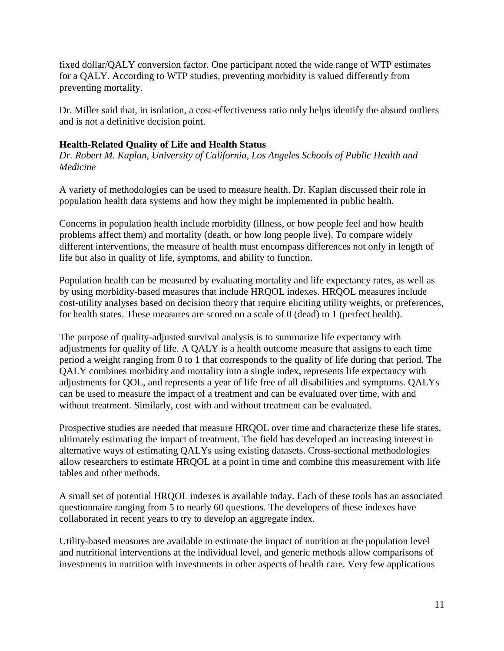fixed dollar/QALY conversion factor. One participant noted the wide range of WTP estimates for a QALY. According to WTP studies, preventing morbidity is valued differently from preventing mortality.

Dr. Miller said that, in isolation, a cost-effectiveness ratio only helps identify the absurd outliers and is not a definitive decision point.

#### **Health-Related Quality of Life and Health Status**

*Dr. Robert M. Kaplan, University of California, Los Angeles Schools of Public Health and Medicine*

A variety of methodologies can be used to measure health. Dr. Kaplan discussed their role in population health data systems and how they might be implemented in public health.

Concerns in population health include morbidity (illness, or how people feel and how health problems affect them) and mortality (death, or how long people live). To compare widely different interventions, the measure of health must encompass differences not only in length of life but also in quality of life, symptoms, and ability to function.

Population health can be measured by evaluating mortality and life expectancy rates, as well as by using morbidity-based measures that include HRQOL indexes. HRQOL measures include cost-utility analyses based on decision theory that require eliciting utility weights, or preferences, for health states. These measures are scored on a scale of 0 (dead) to 1 (perfect health).

The purpose of quality-adjusted survival analysis is to summarize life expectancy with adjustments for quality of life. A QALY is a health outcome measure that assigns to each time period a weight ranging from 0 to 1 that corresponds to the quality of life during that period. The QALY combines morbidity and mortality into a single index, represents life expectancy with adjustments for QOL, and represents a year of life free of all disabilities and symptoms. QALYs can be used to measure the impact of a treatment and can be evaluated over time, with and without treatment. Similarly, cost with and without treatment can be evaluated.

Prospective studies are needed that measure HRQOL over time and characterize these life states, ultimately estimating the impact of treatment. The field has developed an increasing interest in alternative ways of estimating QALYs using existing datasets. Cross-sectional methodologies allow researchers to estimate HRQOL at a point in time and combine this measurement with life tables and other methods.

A small set of potential HRQOL indexes is available today. Each of these tools has an associated questionnaire ranging from 5 to nearly 60 questions. The developers of these indexes have collaborated in recent years to try to develop an aggregate index.

Utility-based measures are available to estimate the impact of nutrition at the population level and nutritional interventions at the individual level, and generic methods allow comparisons of investments in nutrition with investments in other aspects of health care. Very few applications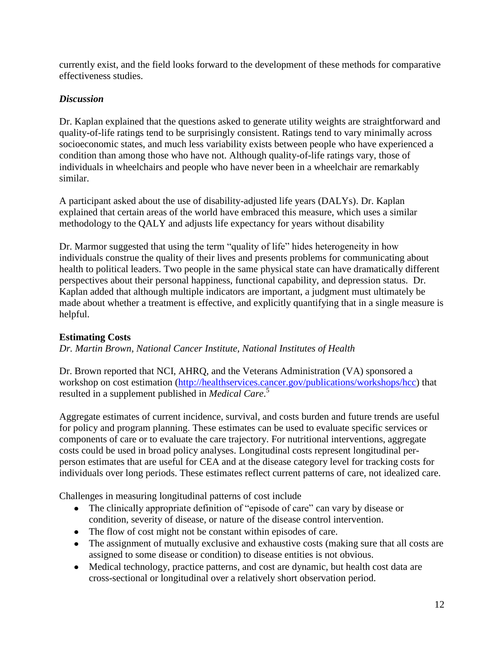currently exist, and the field looks forward to the development of these methods for comparative effectiveness studies.

### *Discussion*

Dr. Kaplan explained that the questions asked to generate utility weights are straightforward and quality-of-life ratings tend to be surprisingly consistent. Ratings tend to vary minimally across socioeconomic states, and much less variability exists between people who have experienced a condition than among those who have not. Although quality-of-life ratings vary, those of individuals in wheelchairs and people who have never been in a wheelchair are remarkably similar.

A participant asked about the use of disability-adjusted life years (DALYs). Dr. Kaplan explained that certain areas of the world have embraced this measure, which uses a similar methodology to the QALY and adjusts life expectancy for years without disability

Dr. Marmor suggested that using the term "quality of life" hides heterogeneity in how individuals construe the quality of their lives and presents problems for communicating about health to political leaders. Two people in the same physical state can have dramatically different perspectives about their personal happiness, functional capability, and depression status. Dr. Kaplan added that although multiple indicators are important, a judgment must ultimately be made about whether a treatment is effective, and explicitly quantifying that in a single measure is helpful.

### **Estimating Costs**

*Dr. Martin Brown, National Cancer Institute, National Institutes of Health*

Dr. Brown reported that NCI, AHRQ, and the Veterans Administration (VA) sponsored a workshop on cost estimation [\(http://healthservices.cancer.gov/publications/workshops/hcc\)](http://healthservices.cancer.gov/publications/workshops/hcc) that resulted in a supplement published in *Medical Care*. 5

Aggregate estimates of current incidence, survival, and costs burden and future trends are useful for policy and program planning. These estimates can be used to evaluate specific services or components of care or to evaluate the care trajectory. For nutritional interventions, aggregate costs could be used in broad policy analyses. Longitudinal costs represent longitudinal perperson estimates that are useful for CEA and at the disease category level for tracking costs for individuals over long periods. These estimates reflect current patterns of care, not idealized care.

Challenges in measuring longitudinal patterns of cost include

- The clinically appropriate definition of "episode of care" can vary by disease or condition, severity of disease, or nature of the disease control intervention.
- The flow of cost might not be constant within episodes of care.
- The assignment of mutually exclusive and exhaustive costs (making sure that all costs are assigned to some disease or condition) to disease entities is not obvious.
- Medical technology, practice patterns, and cost are dynamic, but health cost data are cross-sectional or longitudinal over a relatively short observation period.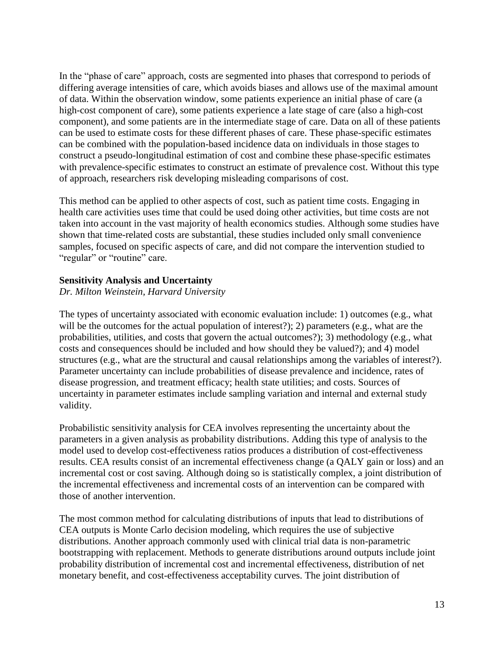In the "phase of care" approach, costs are segmented into phases that correspond to periods of differing average intensities of care, which avoids biases and allows use of the maximal amount of data. Within the observation window, some patients experience an initial phase of care (a high-cost component of care), some patients experience a late stage of care (also a high-cost component), and some patients are in the intermediate stage of care. Data on all of these patients can be used to estimate costs for these different phases of care. These phase-specific estimates can be combined with the population-based incidence data on individuals in those stages to construct a pseudo-longitudinal estimation of cost and combine these phase-specific estimates with prevalence-specific estimates to construct an estimate of prevalence cost. Without this type of approach, researchers risk developing misleading comparisons of cost.

This method can be applied to other aspects of cost, such as patient time costs. Engaging in health care activities uses time that could be used doing other activities, but time costs are not taken into account in the vast majority of health economics studies. Although some studies have shown that time-related costs are substantial, these studies included only small convenience samples, focused on specific aspects of care, and did not compare the intervention studied to "regular" or "routine" care.

#### **Sensitivity Analysis and Uncertainty**

*Dr. Milton Weinstein, Harvard University*

The types of uncertainty associated with economic evaluation include: 1) outcomes (e.g., what will be the outcomes for the actual population of interest?); 2) parameters (e.g., what are the probabilities, utilities, and costs that govern the actual outcomes?); 3) methodology (e.g., what costs and consequences should be included and how should they be valued?); and 4) model structures (e.g., what are the structural and causal relationships among the variables of interest?). Parameter uncertainty can include probabilities of disease prevalence and incidence, rates of disease progression, and treatment efficacy; health state utilities; and costs. Sources of uncertainty in parameter estimates include sampling variation and internal and external study validity.

Probabilistic sensitivity analysis for CEA involves representing the uncertainty about the parameters in a given analysis as probability distributions. Adding this type of analysis to the model used to develop cost-effectiveness ratios produces a distribution of cost-effectiveness results. CEA results consist of an incremental effectiveness change (a QALY gain or loss) and an incremental cost or cost saving. Although doing so is statistically complex, a joint distribution of the incremental effectiveness and incremental costs of an intervention can be compared with those of another intervention.

The most common method for calculating distributions of inputs that lead to distributions of CEA outputs is Monte Carlo decision modeling, which requires the use of subjective distributions. Another approach commonly used with clinical trial data is non-parametric bootstrapping with replacement. Methods to generate distributions around outputs include joint probability distribution of incremental cost and incremental effectiveness, distribution of net monetary benefit, and cost-effectiveness acceptability curves. The joint distribution of